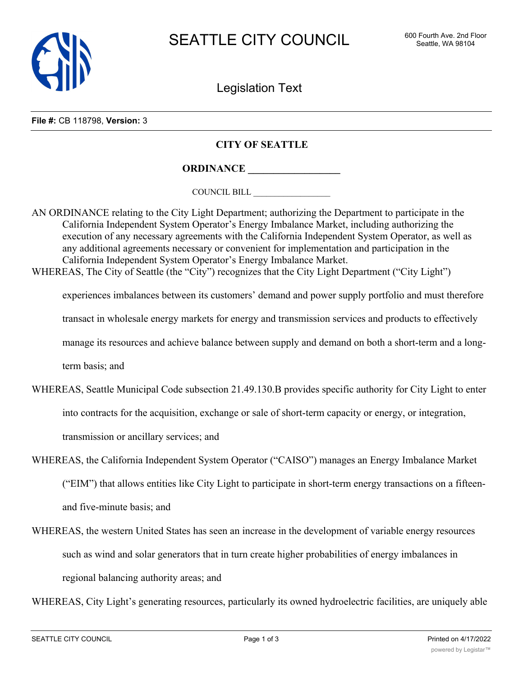

Legislation Text

**File #:** CB 118798, **Version:** 3

## **CITY OF SEATTLE**

**ORDINANCE \_\_\_\_\_\_\_\_\_\_\_\_\_\_\_\_\_\_**

COUNCIL BILL \_\_\_\_\_\_\_\_\_\_\_\_\_\_\_\_\_\_

AN ORDINANCE relating to the City Light Department; authorizing the Department to participate in the California Independent System Operator's Energy Imbalance Market, including authorizing the execution of any necessary agreements with the California Independent System Operator, as well as any additional agreements necessary or convenient for implementation and participation in the California Independent System Operator's Energy Imbalance Market.

WHEREAS, The City of Seattle (the "City") recognizes that the City Light Department ("City Light")

experiences imbalances between its customers' demand and power supply portfolio and must therefore

transact in wholesale energy markets for energy and transmission services and products to effectively

manage its resources and achieve balance between supply and demand on both a short-term and a long-

term basis; and

- WHEREAS, Seattle Municipal Code subsection 21.49.130.B provides specific authority for City Light to enter into contracts for the acquisition, exchange or sale of short-term capacity or energy, or integration, transmission or ancillary services; and
- WHEREAS, the California Independent System Operator ("CAISO") manages an Energy Imbalance Market ("EIM") that allows entities like City Light to participate in short-term energy transactions on a fifteenand five-minute basis; and
- WHEREAS, the western United States has seen an increase in the development of variable energy resources such as wind and solar generators that in turn create higher probabilities of energy imbalances in regional balancing authority areas; and

WHEREAS, City Light's generating resources, particularly its owned hydroelectric facilities, are uniquely able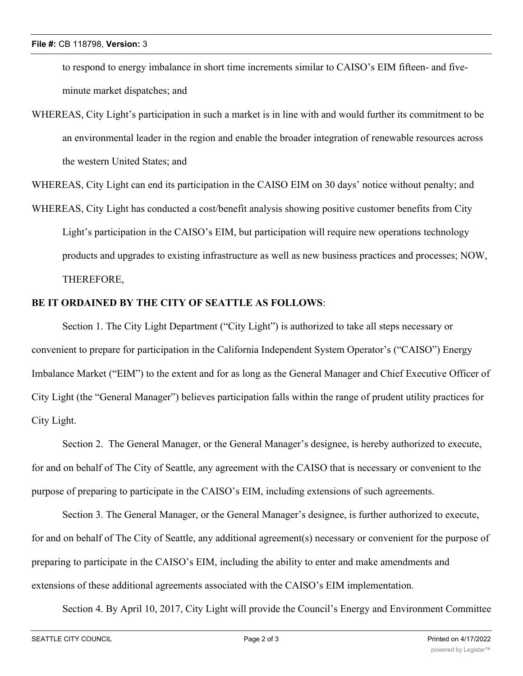to respond to energy imbalance in short time increments similar to CAISO's EIM fifteen- and fiveminute market dispatches; and

WHEREAS, City Light's participation in such a market is in line with and would further its commitment to be an environmental leader in the region and enable the broader integration of renewable resources across the western United States; and

WHEREAS, City Light can end its participation in the CAISO EIM on 30 days' notice without penalty; and

WHEREAS, City Light has conducted a cost/benefit analysis showing positive customer benefits from City Light's participation in the CAISO's EIM, but participation will require new operations technology products and upgrades to existing infrastructure as well as new business practices and processes; NOW, THEREFORE,

## **BE IT ORDAINED BY THE CITY OF SEATTLE AS FOLLOWS**:

Section 1. The City Light Department ("City Light") is authorized to take all steps necessary or convenient to prepare for participation in the California Independent System Operator's ("CAISO") Energy Imbalance Market ("EIM") to the extent and for as long as the General Manager and Chief Executive Officer of City Light (the "General Manager") believes participation falls within the range of prudent utility practices for City Light.

Section 2. The General Manager, or the General Manager's designee, is hereby authorized to execute, for and on behalf of The City of Seattle, any agreement with the CAISO that is necessary or convenient to the purpose of preparing to participate in the CAISO's EIM, including extensions of such agreements.

Section 3. The General Manager, or the General Manager's designee, is further authorized to execute, for and on behalf of The City of Seattle, any additional agreement(s) necessary or convenient for the purpose of preparing to participate in the CAISO's EIM, including the ability to enter and make amendments and extensions of these additional agreements associated with the CAISO's EIM implementation.

Section 4. By April 10, 2017, City Light will provide the Council's Energy and Environment Committee